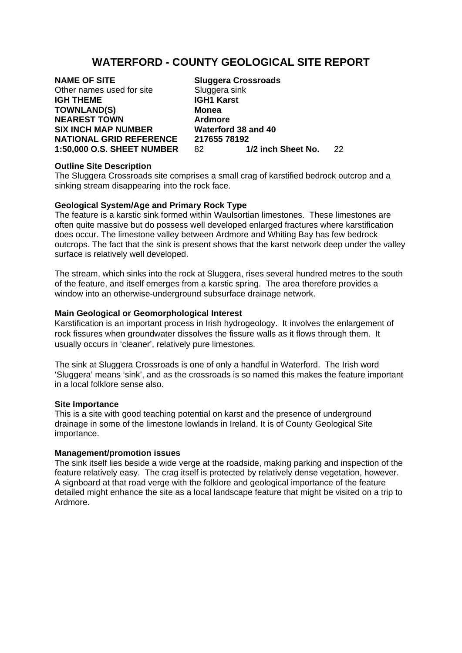# **WATERFORD - COUNTY GEOLOGICAL SITE REPORT**

**NAME OF SITE** Sluggera Crossroads Other names used for site Sluggera sink **IGH THEME IGH1 Karst TOWNLAND(S) Monea NEAREST TOWN Ardmore SIX INCH MAP NUMBER Waterford 38 and 40** 

**NATIONAL GRID REFERENCE 217655 78192<br>1:50.000 O.S. SHEET NUMBER 82 1/2 inch Sheet No. 1:50,000 O.S. SHEET NUMBER** 82 **1/2 inch Sheet No.** 22

## **Outline Site Description**

The Sluggera Crossroads site comprises a small crag of karstified bedrock outcrop and a sinking stream disappearing into the rock face.

#### **Geological System/Age and Primary Rock Type**

The feature is a karstic sink formed within Waulsortian limestones. These limestones are often quite massive but do possess well developed enlarged fractures where karstification does occur. The limestone valley between Ardmore and Whiting Bay has few bedrock outcrops. The fact that the sink is present shows that the karst network deep under the valley surface is relatively well developed.

The stream, which sinks into the rock at Sluggera, rises several hundred metres to the south of the feature, and itself emerges from a karstic spring. The area therefore provides a window into an otherwise-underground subsurface drainage network.

#### **Main Geological or Geomorphological Interest**

Karstification is an important process in Irish hydrogeology. It involves the enlargement of rock fissures when groundwater dissolves the fissure walls as it flows through them. It usually occurs in 'cleaner', relatively pure limestones.

The sink at Sluggera Crossroads is one of only a handful in Waterford. The Irish word 'Sluggera' means 'sink', and as the crossroads is so named this makes the feature important in a local folklore sense also.

#### **Site Importance**

This is a site with good teaching potential on karst and the presence of underground drainage in some of the limestone lowlands in Ireland. It is of County Geological Site importance.

## **Management/promotion issues**

The sink itself lies beside a wide verge at the roadside, making parking and inspection of the feature relatively easy. The crag itself is protected by relatively dense vegetation, however. A signboard at that road verge with the folklore and geological importance of the feature detailed might enhance the site as a local landscape feature that might be visited on a trip to Ardmore.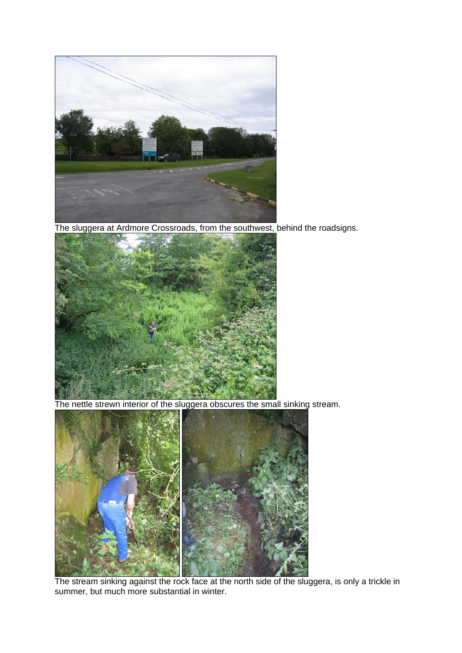

The sluggera at Ardmore Crossroads, from the southwest, behind the roadsigns.



The nettle strewn interior of the sluggera obscures the small sinking stream.



The stream sinking against the rock face at the north side of the sluggera, is only a trickle in summer, but much more substantial in winter.